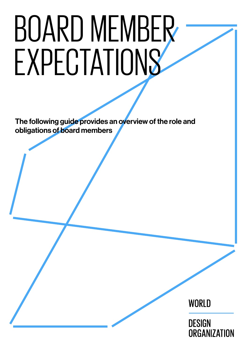# BOARD MEMBER **EXPECTATIONS**

The following guide provides an overview of the role and obligations of board members

WORLD

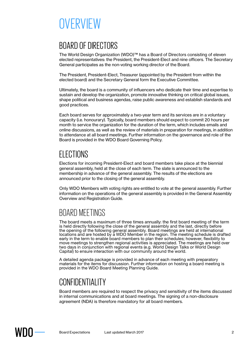# **OVERVIEW**

## BOARD OF DIRECTORS

The World Design Organization (WDO)™ has a Board of Directors consisting of eleven elected representatives: the President, the President-Elect and nine officers. The Secretary General participates as the non-voting working director of the Board.

The President, President-Elect, Treasurer (appointed by the President from within the elected board) and the Secretary General form the Executive Committee.

Ultimately, the board is a community of influencers who dedicate their time and expertise to sustain and develop the organization, promote innovative thinking on critical global issues, shape political and business agendas, raise public awareness and establish standards and good practices.

Each board serves for approximately a two-year term and its services are in a voluntary capacity (i.e. honourary). Typically, board members should expect to commit 20 hours per month to service the organization for the duration of the term, which includes emails and online discussions, as well as the review of materials in preparation for meetings, in addition to attendance at all board meetings. Further information on the governance and role of the Board is provided in the WDO Board Governing Policy.

## ELECTIONS

Elections for incoming President-Elect and board members take place at the biennial general assembly, held at the close of each term. The slate is announced to the membership in advance of the general assembly. The results of the elections are announced prior to the closing of the general assembly.

Only WDO Members with voting rights are entitled to vote at the general assembly. Further information on the operations of the general assembly is provided in the General Assembly Overview and Registration Guide.

## BOARD MEETINGS

The board meets a maximum of three times annually: the first board meeting of the term is held directly following the close of the general assembly and the last, directly before the opening of the following general assembly. Board meetings are held at international locations and are hosted by a WDO Member in the region. The meeting schedule is drafted early in the term to enable board members to plan their schedules; however, flexibility to move meetings to strengthen regional activities is appreciated. The meetings are held over two days in conjunction with regional events (e.g. World Design Talks or World Design Capital) to ensure interaction with our community around the world.

A detailed agenda package is provided in advance of each meeting with preparatory materials for the items for discussion. Further information on hosting a board meeting is provided in the WDO Board Meeting Planning Guide.

## CONFIDENTIALITY

Board members are required to respect the privacy and sensitivity of the items discussed in internal communications and at board meetings. The signing of a non-disclosure agreement (NDA) is therefore mandatory for all board members.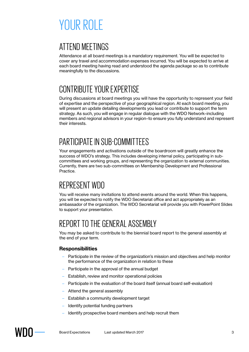# YOUR ROLF

## ATTEND MEETINGS

Attendance at all board meetings is a mandatory requirement. You will be expected to cover any travel and accommodation expenses incurred. You will be expected to arrive at each board meeting having read and understood the agenda package so as to contribute meaningfully to the discussions.

## CONTRIBUTE YOUR EXPERTISE

During discussions at board meetings you will have the opportunity to represent your field of expertise and the perspective of your geographical region. At each board meeting, you will present an update detailing developments you lead or contribute to support the term strategy. As such, you will engage in regular dialogue with the WDO Network–including members and regional advisors in your region–to ensure you fully understand and represent their interests.

## PARTICIPATE IN SUB-COMMITTEES

Your engagements and activations outside of the boardroom will greatly enhance the success of WDO's strategy. This includes developing internal policy, participating in subcommittees and working groups, and representing the organization to external communities. Currently, there are two sub-committees on Membership Development and Professional Practice.

## REPRESENT WDO

You will receive many invitations to attend events around the world. When this happens, you will be expected to notify the WDO Secretariat office and act appropriately as an ambassador of the organization. The WDO Secretariat will provide you with PowerPoint Slides to support your presentation.

## REPORT TO THE GENERAL ASSEMBLY

You may be asked to contribute to the biennial board report to the general assembly at the end of your term.

#### **Responsibilities**

- Participate in the review of the organization's mission and objectives and help monitor the performance of the organization in relation to these
- Participate in the approval of the annual budget
- Establish, review and monitor operational policies
- Participate in the evaluation of the board itself (annual board self-evaluation)
- Attend the general assembly
- Establish a community development target
- Identify potential funding partners
- Identify prospective board members and help recruit them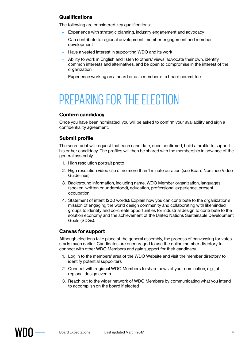#### **Qualifications**

The following are considered key qualifications:

- Experience with strategic planning, industry engagement and advocacy
- Can contribute to regional development, member engagement and member development
- Have a vested interest in supporting WDO and its work
- Ability to work in English and listen to others' views, advocate their own, identify common interests and alternatives, and be open to compromise in the interest of the organization
- Experience working on a board or as a member of a board committee

## PREPARING FOR THE FI FCTION

#### **Confirm candidacy**

Once you have been nominated, you will be asked to confirm your availability and sign a confidentiality agreement.

#### **Submit profile**

The secretariat will request that each candidate, once confirmed, build a profile to support his or her candidacy. The profiles will then be shared with the membership in advance of the general assembly.

- 1. High resolution portrait photo
- 2. High resolution video clip of no more than 1 minute duration (see Board Nominee Video Guidelines)
- 3. Background information, including name, WDO Member organization, languages (spoken, written or understood), education, professional experience, present occupation
- 4. Statement of intent (200 words): Explain how you can contribute to the organization's mission of engaging the world design community and collaborating with likeminded groups to identify and co-create opportunities for industrial design to contribute to the solution economy and the achievement of the United Nations Sustainable Development Goals (SDGs).

#### **Canvas for support**

Although elections take place at the general assembly, the process of canvassing for votes starts much earlier. Candidates are encouraged to use the online member directory to connect with other WDO Members and gain support for their candidacy.

- 1. Log in to the members' area of the WDO Website and visit the member directory to identify potential supporters
- 2. Connect with regional WDO Members to share news of your nomination, e.g., at regional design events
- 3. Reach out to the wider network of WDO Members by communicating what you intend to accomplish on the board if elected